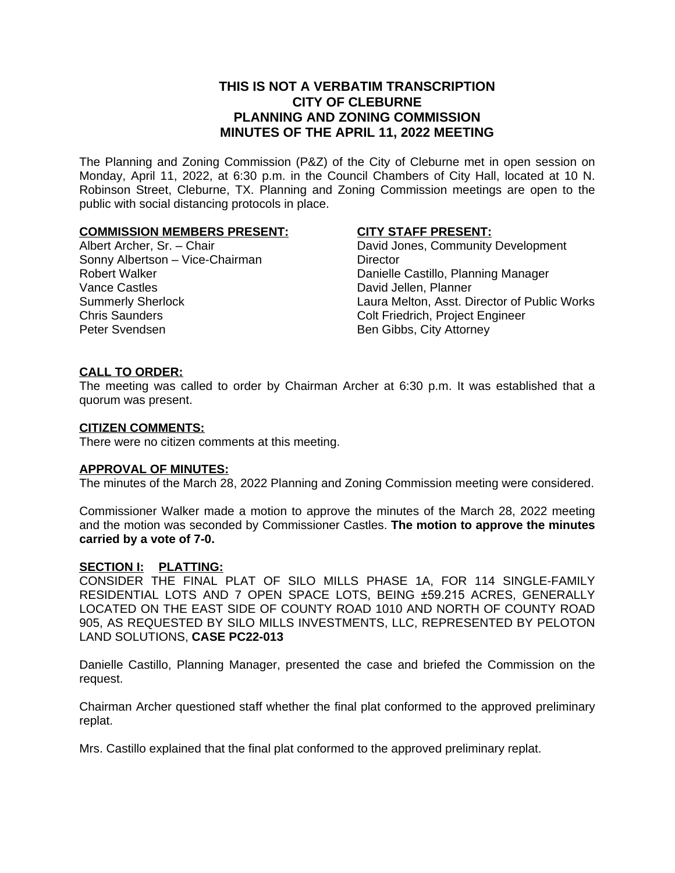# **THIS IS NOT A VERBATIM TRANSCRIPTION CITY OF CLEBURNE PLANNING AND ZONING COMMISSION MINUTES OF THE APRIL 11, 2022 MEETING**

The Planning and Zoning Commission (P&Z) of the City of Cleburne met in open session on Monday, April 11, 2022, at 6:30 p.m. in the Council Chambers of City Hall, located at 10 N. Robinson Street, Cleburne, TX. Planning and Zoning Commission meetings are open to the public with social distancing protocols in place.

#### **COMMISSION MEMBERS PRESENT:**

Albert Archer, Sr. – Chair Sonny Albertson – Vice-Chairman Robert Walker Vance Castles Summerly Sherlock Chris Saunders Peter Svendsen

#### **CITY STAFF PRESENT:**

David Jones, Community Development **Director** Danielle Castillo, Planning Manager David Jellen, Planner Laura Melton, Asst. Director of Public Works Colt Friedrich, Project Engineer Ben Gibbs, City Attorney

### **CALL TO ORDER:**

The meeting was called to order by Chairman Archer at 6:30 p.m. It was established that a quorum was present.

#### **CITIZEN COMMENTS:**

There were no citizen comments at this meeting.

#### **APPROVAL OF MINUTES:**

The minutes of the March 28, 2022 Planning and Zoning Commission meeting were considered.

Commissioner Walker made a motion to approve the minutes of the March 28, 2022 meeting and the motion was seconded by Commissioner Castles. **The motion to approve the minutes carried by a vote of 7-0.**

#### **SECTION I: PLATTING:**

CONSIDER THE FINAL PLAT OF SILO MILLS PHASE 1A, FOR 114 SINGLE-FAMILY RESIDENTIAL LOTS AND 7 OPEN SPACE LOTS, BEING ±59.215 ACRES, GENERALLY LOCATED ON THE EAST SIDE OF COUNTY ROAD 1010 AND NORTH OF COUNTY ROAD 905, AS REQUESTED BY SILO MILLS INVESTMENTS, LLC, REPRESENTED BY PELOTON LAND SOLUTIONS, **CASE PC22-013**

Danielle Castillo, Planning Manager, presented the case and briefed the Commission on the request.

Chairman Archer questioned staff whether the final plat conformed to the approved preliminary replat.

Mrs. Castillo explained that the final plat conformed to the approved preliminary replat.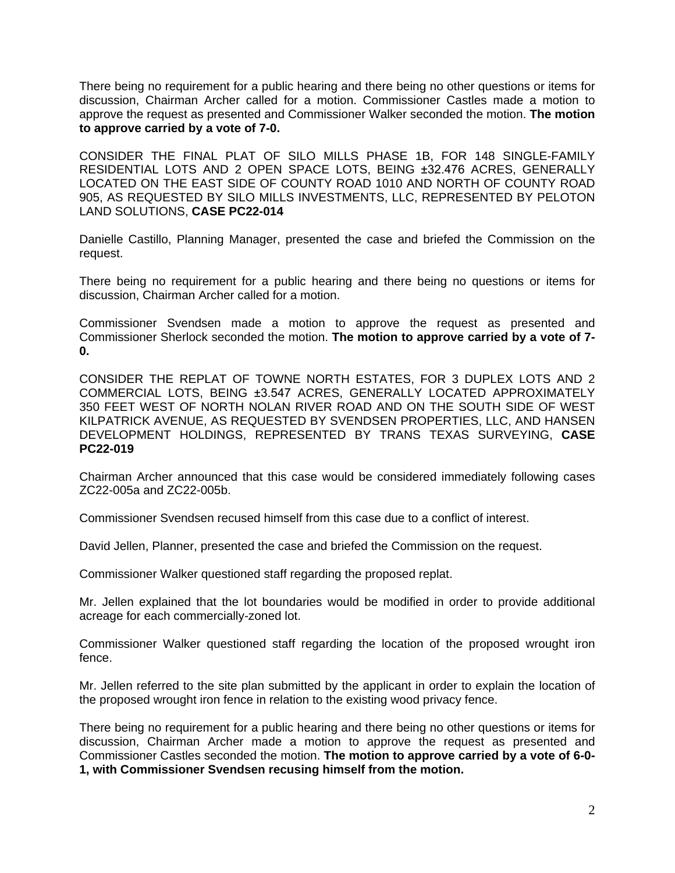There being no requirement for a public hearing and there being no other questions or items for discussion, Chairman Archer called for a motion. Commissioner Castles made a motion to approve the request as presented and Commissioner Walker seconded the motion. **The motion to approve carried by a vote of 7-0.**

CONSIDER THE FINAL PLAT OF SILO MILLS PHASE 1B, FOR 148 SINGLE-FAMILY RESIDENTIAL LOTS AND 2 OPEN SPACE LOTS, BEING ±32.476 ACRES, GENERALLY LOCATED ON THE EAST SIDE OF COUNTY ROAD 1010 AND NORTH OF COUNTY ROAD 905, AS REQUESTED BY SILO MILLS INVESTMENTS, LLC, REPRESENTED BY PELOTON LAND SOLUTIONS, **CASE PC22-014**

Danielle Castillo, Planning Manager, presented the case and briefed the Commission on the request.

There being no requirement for a public hearing and there being no questions or items for discussion, Chairman Archer called for a motion.

Commissioner Svendsen made a motion to approve the request as presented and Commissioner Sherlock seconded the motion. **The motion to approve carried by a vote of 7- 0.**

CONSIDER THE REPLAT OF TOWNE NORTH ESTATES, FOR 3 DUPLEX LOTS AND 2 COMMERCIAL LOTS, BEING ±3.547 ACRES, GENERALLY LOCATED APPROXIMATELY 350 FEET WEST OF NORTH NOLAN RIVER ROAD AND ON THE SOUTH SIDE OF WEST KILPATRICK AVENUE, AS REQUESTED BY SVENDSEN PROPERTIES, LLC, AND HANSEN DEVELOPMENT HOLDINGS, REPRESENTED BY TRANS TEXAS SURVEYING, **CASE PC22-019**

Chairman Archer announced that this case would be considered immediately following cases ZC22-005a and ZC22-005b.

Commissioner Svendsen recused himself from this case due to a conflict of interest.

David Jellen, Planner, presented the case and briefed the Commission on the request.

Commissioner Walker questioned staff regarding the proposed replat.

Mr. Jellen explained that the lot boundaries would be modified in order to provide additional acreage for each commercially-zoned lot.

Commissioner Walker questioned staff regarding the location of the proposed wrought iron fence.

Mr. Jellen referred to the site plan submitted by the applicant in order to explain the location of the proposed wrought iron fence in relation to the existing wood privacy fence.

There being no requirement for a public hearing and there being no other questions or items for discussion, Chairman Archer made a motion to approve the request as presented and Commissioner Castles seconded the motion. **The motion to approve carried by a vote of 6-0- 1, with Commissioner Svendsen recusing himself from the motion.**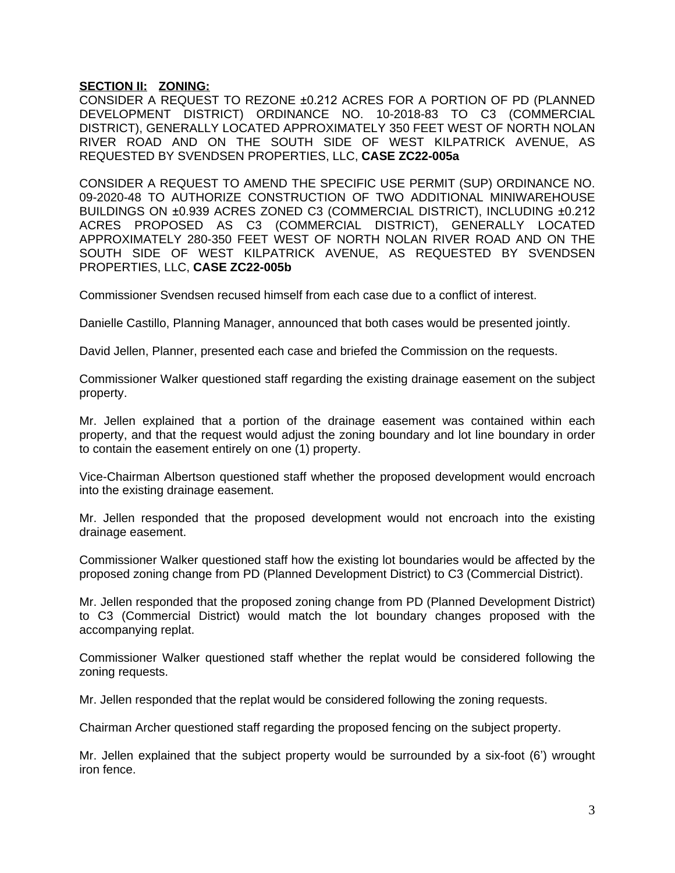## **SECTION II: ZONING:**

CONSIDER A REQUEST TO REZONE ±0.212 ACRES FOR A PORTION OF PD (PLANNED DEVELOPMENT DISTRICT) ORDINANCE NO. 10-2018-83 TO C3 (COMMERCIAL DISTRICT), GENERALLY LOCATED APPROXIMATELY 350 FEET WEST OF NORTH NOLAN RIVER ROAD AND ON THE SOUTH SIDE OF WEST KILPATRICK AVENUE, AS REQUESTED BY SVENDSEN PROPERTIES, LLC, **CASE ZC22-005a**

CONSIDER A REQUEST TO AMEND THE SPECIFIC USE PERMIT (SUP) ORDINANCE NO. 09-2020-48 TO AUTHORIZE CONSTRUCTION OF TWO ADDITIONAL MINIWAREHOUSE BUILDINGS ON ±0.939 ACRES ZONED C3 (COMMERCIAL DISTRICT), INCLUDING ±0.212 ACRES PROPOSED AS C3 (COMMERCIAL DISTRICT), GENERALLY LOCATED APPROXIMATELY 280-350 FEET WEST OF NORTH NOLAN RIVER ROAD AND ON THE SOUTH SIDE OF WEST KILPATRICK AVENUE, AS REQUESTED BY SVENDSEN PROPERTIES, LLC, **CASE ZC22-005b**

Commissioner Svendsen recused himself from each case due to a conflict of interest.

Danielle Castillo, Planning Manager, announced that both cases would be presented jointly.

David Jellen, Planner, presented each case and briefed the Commission on the requests.

Commissioner Walker questioned staff regarding the existing drainage easement on the subject property.

Mr. Jellen explained that a portion of the drainage easement was contained within each property, and that the request would adjust the zoning boundary and lot line boundary in order to contain the easement entirely on one (1) property.

Vice-Chairman Albertson questioned staff whether the proposed development would encroach into the existing drainage easement.

Mr. Jellen responded that the proposed development would not encroach into the existing drainage easement.

Commissioner Walker questioned staff how the existing lot boundaries would be affected by the proposed zoning change from PD (Planned Development District) to C3 (Commercial District).

Mr. Jellen responded that the proposed zoning change from PD (Planned Development District) to C3 (Commercial District) would match the lot boundary changes proposed with the accompanying replat.

Commissioner Walker questioned staff whether the replat would be considered following the zoning requests.

Mr. Jellen responded that the replat would be considered following the zoning requests.

Chairman Archer questioned staff regarding the proposed fencing on the subject property.

Mr. Jellen explained that the subject property would be surrounded by a six-foot (6') wrought iron fence.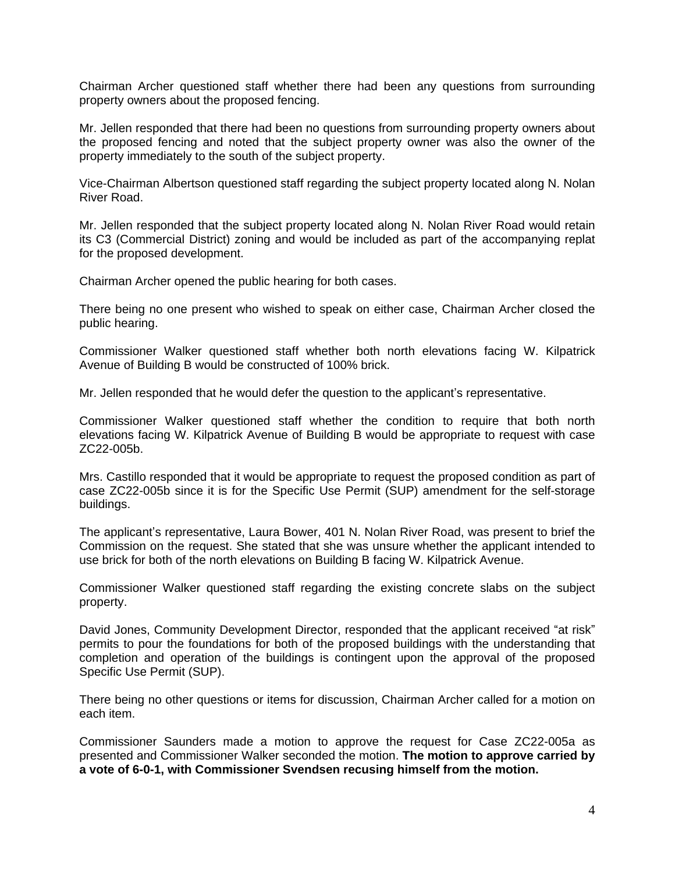Chairman Archer questioned staff whether there had been any questions from surrounding property owners about the proposed fencing.

Mr. Jellen responded that there had been no questions from surrounding property owners about the proposed fencing and noted that the subject property owner was also the owner of the property immediately to the south of the subject property.

Vice-Chairman Albertson questioned staff regarding the subject property located along N. Nolan River Road.

Mr. Jellen responded that the subject property located along N. Nolan River Road would retain its C3 (Commercial District) zoning and would be included as part of the accompanying replat for the proposed development.

Chairman Archer opened the public hearing for both cases.

There being no one present who wished to speak on either case, Chairman Archer closed the public hearing.

Commissioner Walker questioned staff whether both north elevations facing W. Kilpatrick Avenue of Building B would be constructed of 100% brick.

Mr. Jellen responded that he would defer the question to the applicant's representative.

Commissioner Walker questioned staff whether the condition to require that both north elevations facing W. Kilpatrick Avenue of Building B would be appropriate to request with case ZC22-005b.

Mrs. Castillo responded that it would be appropriate to request the proposed condition as part of case ZC22-005b since it is for the Specific Use Permit (SUP) amendment for the self-storage buildings.

The applicant's representative, Laura Bower, 401 N. Nolan River Road, was present to brief the Commission on the request. She stated that she was unsure whether the applicant intended to use brick for both of the north elevations on Building B facing W. Kilpatrick Avenue.

Commissioner Walker questioned staff regarding the existing concrete slabs on the subject property.

David Jones, Community Development Director, responded that the applicant received "at risk" permits to pour the foundations for both of the proposed buildings with the understanding that completion and operation of the buildings is contingent upon the approval of the proposed Specific Use Permit (SUP).

There being no other questions or items for discussion, Chairman Archer called for a motion on each item.

Commissioner Saunders made a motion to approve the request for Case ZC22-005a as presented and Commissioner Walker seconded the motion. **The motion to approve carried by a vote of 6-0-1, with Commissioner Svendsen recusing himself from the motion.**